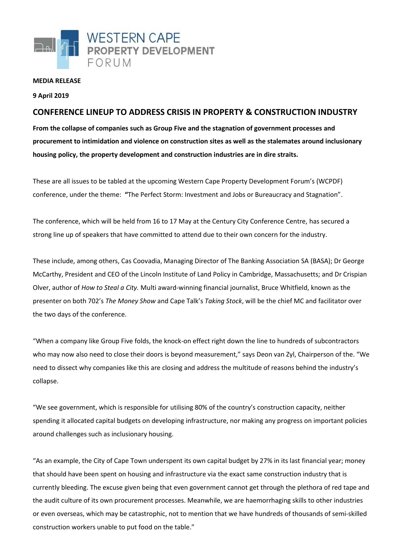

## **MEDIA RELEASE**

## **9 April 2019**

## **CONFERENCE LINEUP TO ADDRESS CRISIS IN PROPERTY & CONSTRUCTION INDUSTRY**

**From the collapse of companies such as Group Five and the stagnation of government processes and procurement to intimidation and violence on construction sites as well as the stalemates around inclusionary housing policy, the property development and construction industries are in dire straits.** 

These are all issues to be tabled at the upcoming Western Cape Property Development Forum's (WCPDF) conference, under the theme: **"**The Perfect Storm: Investment and Jobs or Bureaucracy and Stagnation".

The conference, which will be held from 16 to 17 May at the Century City Conference Centre, has secured a strong line up of speakers that have committed to attend due to their own concern for the industry.

These include, among others, Cas Coovadia, Managing Director of The Banking Association SA (BASA); Dr George McCarthy, President and CEO of the Lincoln Institute of Land Policy in Cambridge, Massachusetts; and Dr Crispian Olver, author of *How to Steal a City.* Multi award-winning financial journalist, Bruce Whitfield, known as the presenter on both 702's *The Money Show* and Cape Talk's *Taking Stock*, will be the chief MC and facilitator over the two days of the conference.

"When a company like Group Five folds, the knock-on effect right down the line to hundreds of subcontractors who may now also need to close their doors is beyond measurement," says Deon van Zyl, Chairperson of the. "We need to dissect why companies like this are closing and address the multitude of reasons behind the industry's collapse.

"We see government, which is responsible for utilising 80% of the country's construction capacity, neither spending it allocated capital budgets on developing infrastructure, nor making any progress on important policies around challenges such as inclusionary housing.

"As an example, the City of Cape Town underspent its own capital budget by 27% in its last financial year; money that should have been spent on housing and infrastructure via the exact same construction industry that is currently bleeding. The excuse given being that even government cannot get through the plethora of red tape and the audit culture of its own procurement processes. Meanwhile, we are haemorrhaging skills to other industries or even overseas, which may be catastrophic, not to mention that we have hundreds of thousands of semi-skilled construction workers unable to put food on the table."